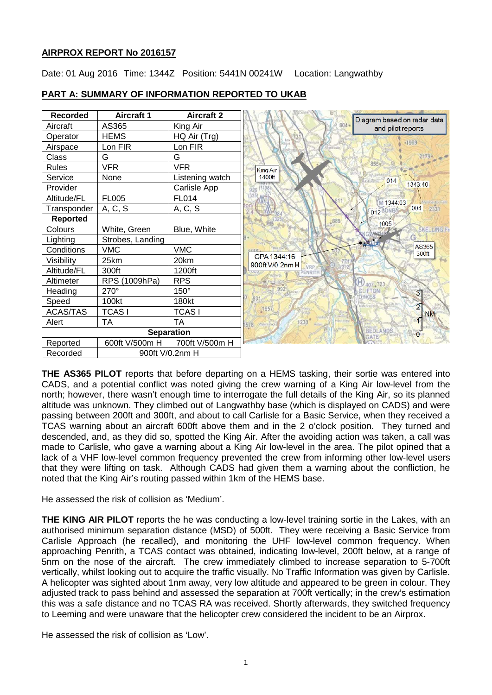# **AIRPROX REPORT No 2016157**

Date: 01 Aug 2016 Time: 1344Z Position: 5441N 00241W Location: Langwathby



# **PART A: SUMMARY OF INFORMATION REPORTED TO UKAB**

**THE AS365 PILOT** reports that before departing on a HEMS tasking, their sortie was entered into CADS, and a potential conflict was noted giving the crew warning of a King Air low-level from the north; however, there wasn't enough time to interrogate the full details of the King Air, so its planned altitude was unknown. They climbed out of Langwathby base (which is displayed on CADS) and were passing between 200ft and 300ft, and about to call Carlisle for a Basic Service, when they received a TCAS warning about an aircraft 600ft above them and in the 2 o'clock position. They turned and descended, and, as they did so, spotted the King Air. After the avoiding action was taken, a call was made to Carlisle, who gave a warning about a King Air low-level in the area. The pilot opined that a lack of a VHF low-level common frequency prevented the crew from informing other low-level users that they were lifting on task. Although CADS had given them a warning about the confliction, he noted that the King Air's routing passed within 1km of the HEMS base.

He assessed the risk of collision as 'Medium'.

**THE KING AIR PILOT** reports the he was conducting a low-level training sortie in the Lakes, with an authorised minimum separation distance (MSD) of 500ft. They were receiving a Basic Service from Carlisle Approach (he recalled), and monitoring the UHF low-level common frequency. When approaching Penrith, a TCAS contact was obtained, indicating low-level, 200ft below, at a range of 5nm on the nose of the aircraft. The crew immediately climbed to increase separation to 5-700ft vertically, whilst looking out to acquire the traffic visually. No Traffic Information was given by Carlisle. A helicopter was sighted about 1nm away, very low altitude and appeared to be green in colour. They adjusted track to pass behind and assessed the separation at 700ft vertically; in the crew's estimation this was a safe distance and no TCAS RA was received. Shortly afterwards, they switched frequency to Leeming and were unaware that the helicopter crew considered the incident to be an Airprox.

He assessed the risk of collision as 'Low'.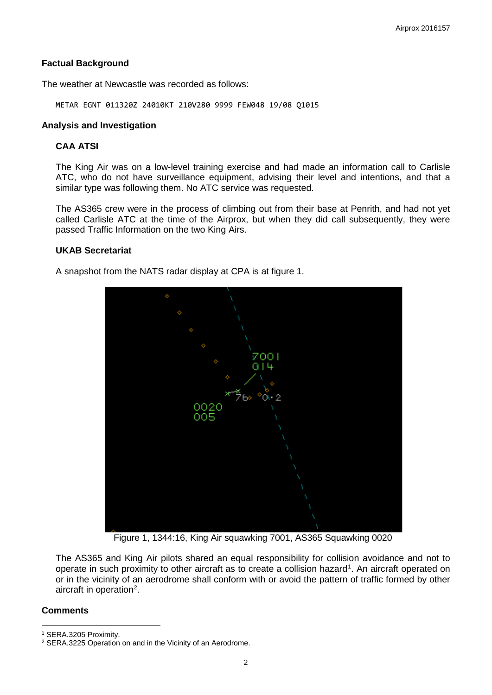### **Factual Background**

The weather at Newcastle was recorded as follows:

METAR EGNT 011320Z 24010KT 210V280 9999 FEW048 19/08 Q1015

#### **Analysis and Investigation**

# **CAA ATSI**

The King Air was on a low-level training exercise and had made an information call to Carlisle ATC, who do not have surveillance equipment, advising their level and intentions, and that a similar type was following them. No ATC service was requested.

The AS365 crew were in the process of climbing out from their base at Penrith, and had not yet called Carlisle ATC at the time of the Airprox, but when they did call subsequently, they were passed Traffic Information on the two King Airs.

### **UKAB Secretariat**

A snapshot from the NATS radar display at CPA is at figure 1.



Figure 1, 1344:16, King Air squawking 7001, AS365 Squawking 0020

The AS365 and King Air pilots shared an equal responsibility for collision avoidance and not to operate in such proximity to other aircraft as to create a collision hazard<sup>[1](#page-1-0)</sup>. An aircraft operated on or in the vicinity of an aerodrome shall conform with or avoid the pattern of traffic formed by other aircraft in operation<sup>[2](#page-1-1)</sup>.

#### **Comments**

l

<span id="page-1-0"></span><sup>1</sup> SERA.3205 Proximity.

<span id="page-1-1"></span><sup>2</sup> SERA.3225 Operation on and in the Vicinity of an Aerodrome.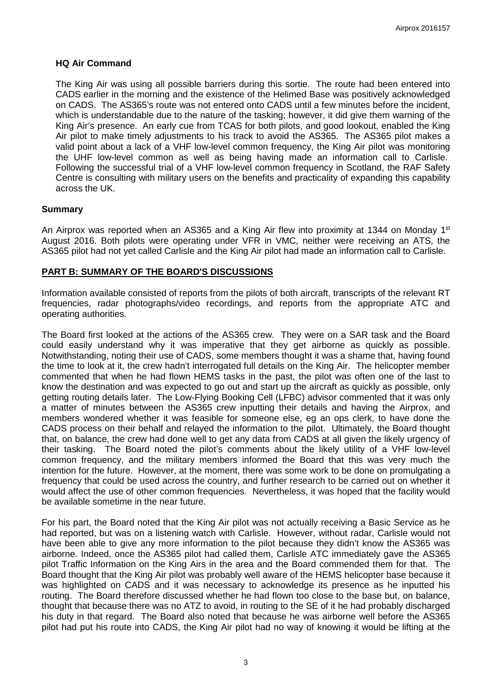#### **HQ Air Command**

The King Air was using all possible barriers during this sortie. The route had been entered into CADS earlier in the morning and the existence of the Helimed Base was positively acknowledged on CADS. The AS365's route was not entered onto CADS until a few minutes before the incident, which is understandable due to the nature of the tasking; however, it did give them warning of the King Air's presence. An early cue from TCAS for both pilots, and good lookout, enabled the King Air pilot to make timely adjustments to his track to avoid the AS365. The AS365 pilot makes a valid point about a lack of a VHF low-level common frequency, the King Air pilot was monitoring the UHF low-level common as well as being having made an information call to Carlisle. Following the successful trial of a VHF low-level common frequency in Scotland, the RAF Safety Centre is consulting with military users on the benefits and practicality of expanding this capability across the UK.

### **Summary**

An Airprox was reported when an AS365 and a King Air flew into proximity at 1344 on Monday 1<sup>st</sup> August 2016. Both pilots were operating under VFR in VMC, neither were receiving an ATS, the AS365 pilot had not yet called Carlisle and the King Air pilot had made an information call to Carlisle.

## **PART B: SUMMARY OF THE BOARD'S DISCUSSIONS**

Information available consisted of reports from the pilots of both aircraft, transcripts of the relevant RT frequencies, radar photographs/video recordings, and reports from the appropriate ATC and operating authorities.

The Board first looked at the actions of the AS365 crew. They were on a SAR task and the Board could easily understand why it was imperative that they get airborne as quickly as possible. Notwithstanding, noting their use of CADS, some members thought it was a shame that, having found the time to look at it, the crew hadn't interrogated full details on the King Air. The helicopter member commented that when he had flown HEMS tasks in the past, the pilot was often one of the last to know the destination and was expected to go out and start up the aircraft as quickly as possible, only getting routing details later. The Low-Flying Booking Cell (LFBC) advisor commented that it was only a matter of minutes between the AS365 crew inputting their details and having the Airprox, and members wondered whether it was feasible for someone else, eg an ops clerk, to have done the CADS process on their behalf and relayed the information to the pilot. Ultimately, the Board thought that, on balance, the crew had done well to get any data from CADS at all given the likely urgency of their tasking. The Board noted the pilot's comments about the likely utility of a VHF low-level common frequency, and the military members informed the Board that this was very much the intention for the future. However, at the moment, there was some work to be done on promulgating a frequency that could be used across the country, and further research to be carried out on whether it would affect the use of other common frequencies. Nevertheless, it was hoped that the facility would be available sometime in the near future.

For his part, the Board noted that the King Air pilot was not actually receiving a Basic Service as he had reported, but was on a listening watch with Carlisle. However, without radar, Carlisle would not have been able to give any more information to the pilot because they didn't know the AS365 was airborne. Indeed, once the AS365 pilot had called them, Carlisle ATC immediately gave the AS365 pilot Traffic Information on the King Airs in the area and the Board commended them for that. The Board thought that the King Air pilot was probably well aware of the HEMS helicopter base because it was highlighted on CADS and it was necessary to acknowledge its presence as he inputted his routing. The Board therefore discussed whether he had flown too close to the base but, on balance, thought that because there was no ATZ to avoid, in routing to the SE of it he had probably discharged his duty in that regard. The Board also noted that because he was airborne well before the AS365 pilot had put his route into CADS, the King Air pilot had no way of knowing it would be lifting at the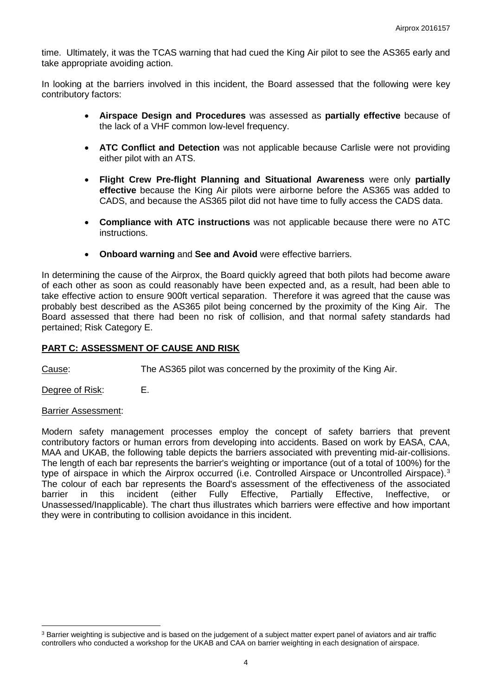time. Ultimately, it was the TCAS warning that had cued the King Air pilot to see the AS365 early and take appropriate avoiding action.

In looking at the barriers involved in this incident, the Board assessed that the following were key contributory factors:

- **Airspace Design and Procedures** was assessed as **partially effective** because of the lack of a VHF common low-level frequency.
- **ATC Conflict and Detection** was not applicable because Carlisle were not providing either pilot with an ATS.
- **Flight Crew Pre-flight Planning and Situational Awareness** were only **partially effective** because the King Air pilots were airborne before the AS365 was added to CADS, and because the AS365 pilot did not have time to fully access the CADS data.
- **Compliance with ATC instructions** was not applicable because there were no ATC instructions.
- **Onboard warning** and **See and Avoid** were effective barriers.

In determining the cause of the Airprox, the Board quickly agreed that both pilots had become aware of each other as soon as could reasonably have been expected and, as a result, had been able to take effective action to ensure 900ft vertical separation. Therefore it was agreed that the cause was probably best described as the AS365 pilot being concerned by the proximity of the King Air. The Board assessed that there had been no risk of collision, and that normal safety standards had pertained; Risk Category E.

## **PART C: ASSESSMENT OF CAUSE AND RISK**

Cause: The AS365 pilot was concerned by the proximity of the King Air.

Degree of Risk: E.

#### Barrier Assessment:

l

Modern safety management processes employ the concept of safety barriers that prevent contributory factors or human errors from developing into accidents. Based on work by EASA, CAA, MAA and UKAB, the following table depicts the barriers associated with preventing mid-air-collisions. The length of each bar represents the barrier's weighting or importance (out of a total of 100%) for the type of airspace in which the Airprox occurred (i.e. Controlled Airspace or Uncontrolled Airspace).<sup>[3](#page-3-0)</sup> The colour of each bar represents the Board's assessment of the effectiveness of the associated barrier in this incident (either Fully Effective, Partially Effective, Ineffective, or Unassessed/Inapplicable). The chart thus illustrates which barriers were effective and how important they were in contributing to collision avoidance in this incident.

<span id="page-3-0"></span><sup>&</sup>lt;sup>3</sup> Barrier weighting is subjective and is based on the judgement of a subject matter expert panel of aviators and air traffic controllers who conducted a workshop for the UKAB and CAA on barrier weighting in each designation of airspace.